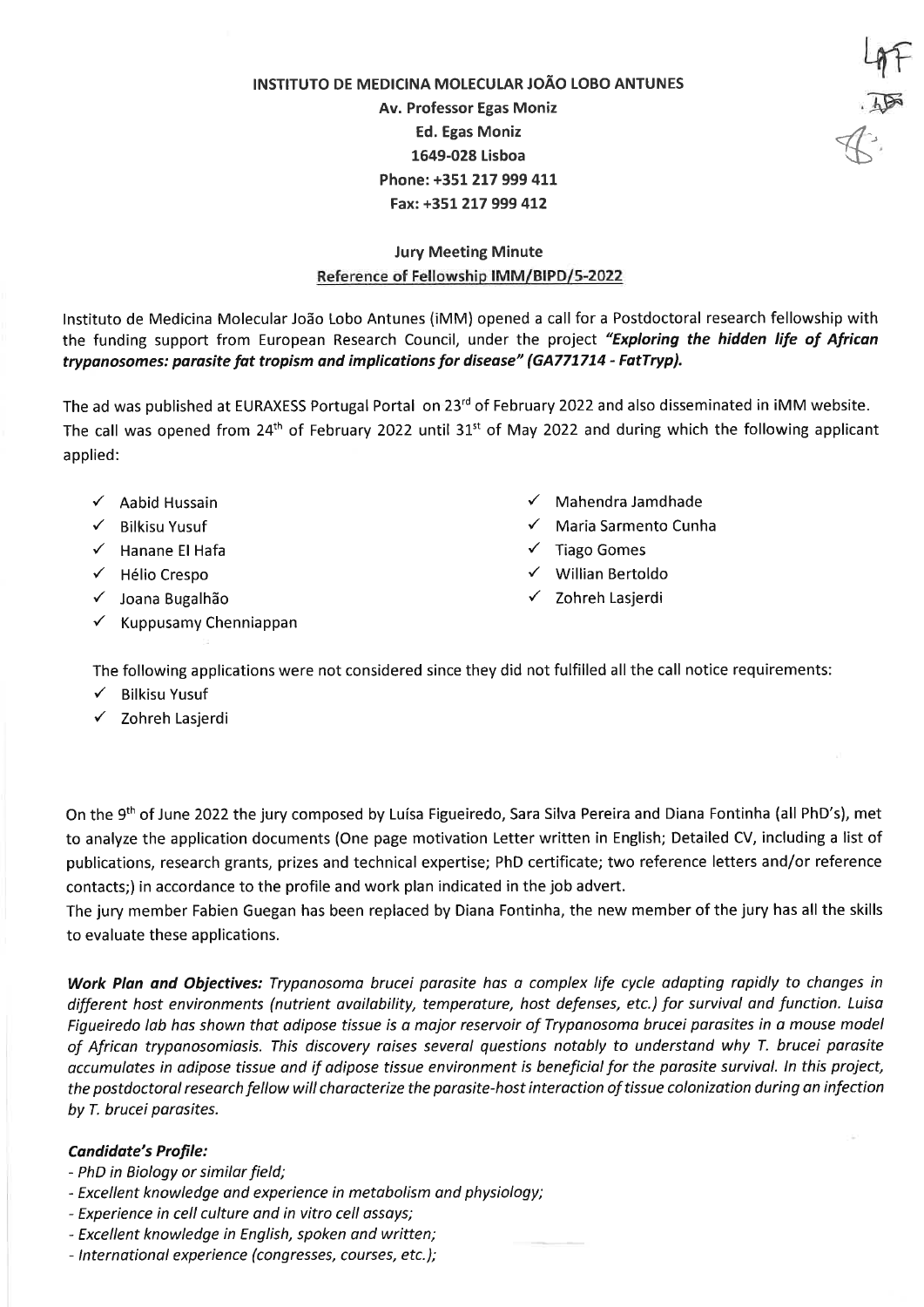INSTITUTO DE MEDICINA MOLECULAR JOÃO LOBO ANTUNES Av. Professor Egas Moniz **Ed. Egas Moniz** 1649-028 Lisboa Phone: +351 217 999 411 Fax: +351 217 999 412

## **Jury Meeting Minute** Reference of Fellowship IMM/BIPD/5-2022

Instituto de Medicina Molecular João Lobo Antunes (iMM) opened a call for a Postdoctoral research fellowship with the funding support from European Research Council, under the project "Exploring the hidden life of African trypanosomes: parasite fat tropism and implications for disease" (GA771714 - FatTryp).

The ad was published at EURAXESS Portugal Portal on 23<sup>rd</sup> of February 2022 and also disseminated in iMM website. The call was opened from 24<sup>th</sup> of February 2022 until 31<sup>st</sup> of May 2022 and during which the following applicant applied:

- $\checkmark$  Aabid Hussain
- $\checkmark$  Bilkisu Yusuf
- $\checkmark$  Hanane El Hafa
- √ Hélio Crespo
- √ Joana Bugalhão
- $\checkmark$  Kuppusamy Chenniappan
- $\checkmark$  Mahendra Jamdhade
- ← Maria Sarmento Cunha

 $\frac{4}{10}$ 

 $7.15$ 

- $\checkmark$  Tiago Gomes
- $\checkmark$  Willian Bertoldo
- ✓ Zohreh Lasjerdi

The following applications were not considered since they did not fulfilled all the call notice requirements:

- $\checkmark$  Bilkisu Yusuf
- √ Zohreh Lasjerdi

On the 9th of June 2022 the jury composed by Luísa Figueiredo, Sara Silva Pereira and Diana Fontinha (all PhD's), met to analyze the application documents (One page motivation Letter written in English; Detailed CV, including a list of publications, research grants, prizes and technical expertise; PhD certificate; two reference letters and/or reference contacts;) in accordance to the profile and work plan indicated in the job advert.

The jury member Fabien Guegan has been replaced by Diana Fontinha, the new member of the jury has all the skills to evaluate these applications.

Work Plan and Objectives: Trypanosoma brucei parasite has a complex life cycle adapting rapidly to changes in different host environments (nutrient availability, temperature, host defenses, etc.) for survival and function. Luisa Figueiredo lab has shown that adipose tissue is a major reservoir of Trypanosoma brucei parasites in a mouse model of African trypanosomiasis. This discovery raises several questions notably to understand why T. brucei parasite accumulates in adipose tissue and if adipose tissue environment is beneficial for the parasite survival. In this project, the postdoctoral research fellow will characterize the parasite-host interaction of tissue colonization during an infection by T. brucei parasites.

## **Candidate's Profile:**

- PhD in Biology or similar field;
- Excellent knowledge and experience in metabolism and physiology;
- Experience in cell culture and in vitro cell assays;
- Excellent knowledge in English, spoken and written;
- International experience (congresses, courses, etc.);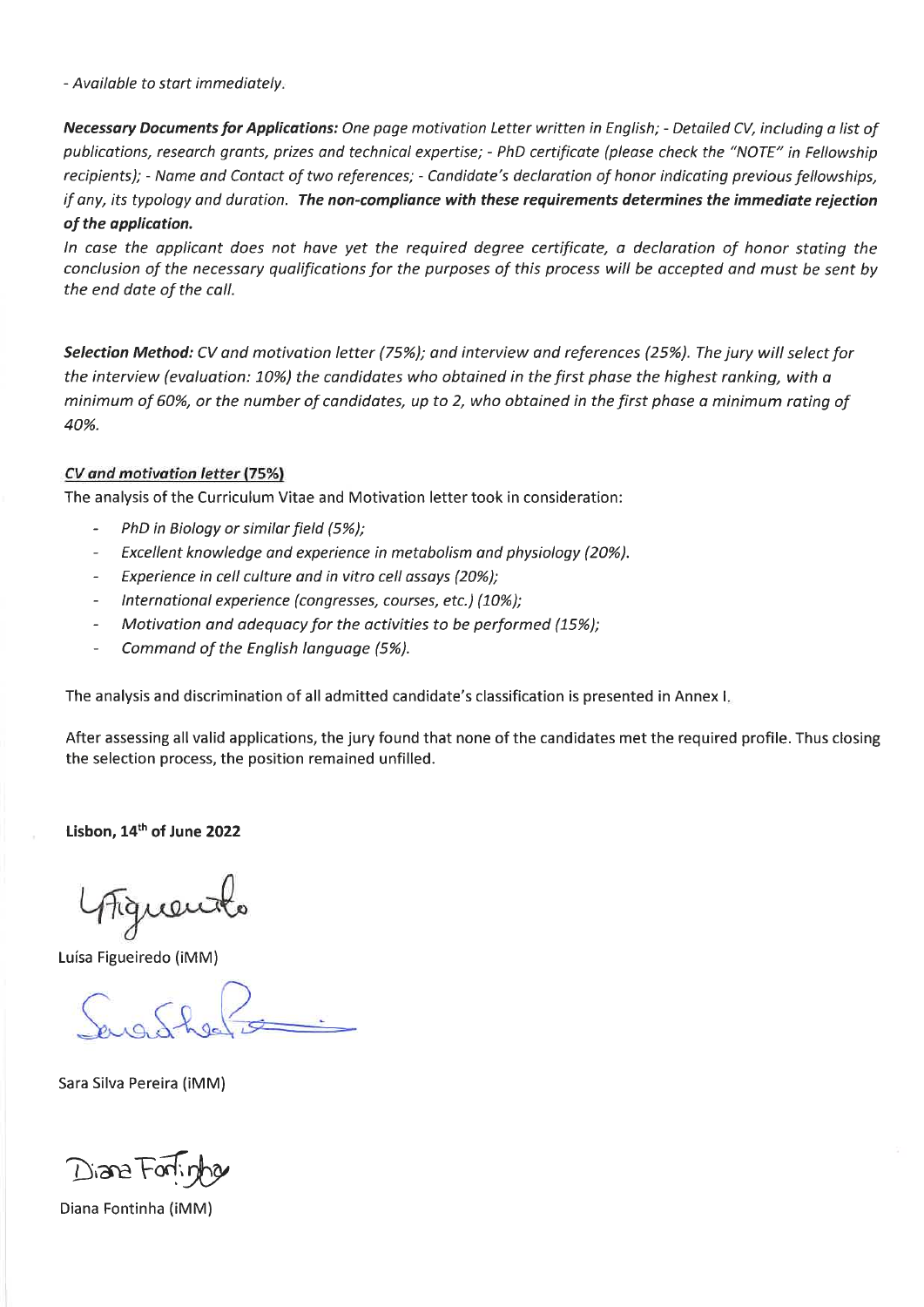- Available to start immediately.

Necessary Documents for Applications: One page motivation Letter written in English; - Detailed CV, including a list of publications, research grants, prizes and technical expertise; - PhD certificate (please check the "NOTE" in Fellowship recipients); - Name and Contact of two references; - Candidate's declaration of honor indicating previous fellowships, if any, its typology and duration. The non-compliance with these requirements determines the immediate rejection of the application.

In case the applicant does not have yet the required degree certificate, a declaration of honor stating the conclusion of the necessary qualifications for the purposes of this process will be accepted and must be sent by the end date of the call.

Selection Method: CV and motivation letter (75%); and interview and references (25%). The jury will select for the interview (evaluation: 10%) the candidates who obtained in the first phase the highest ranking, with a minimum of 60%, or the number of candidates, up to 2, who obtained in the first phase a minimum rating of 40%.

## CV and motivation letter (75%)

The analysis of the Curriculum Vitae and Motivation letter took in consideration:

- PhD in Biology or similar field (5%);
- $\frac{1}{2}$ Excellent knowledge and experience in metabolism and physiology (20%).
- Experience in cell culture and in vitro cell assays (20%);  $\sim$
- International experience (congresses, courses, etc.) (10%);  $\overline{a}$
- Motivation and adequacy for the activities to be performed (15%);
- Command of the English language (5%).  $\overline{a}$

The analysis and discrimination of all admitted candidate's classification is presented in Annex I.

After assessing all valid applications, the jury found that none of the candidates met the required profile. Thus closing the selection process, the position remained unfilled.

Lisbon, 14th of June 2022

Luísa Figueiredo (iMM)

Sara Silva Pereira (iMM)

Disne Forli

Diana Fontinha (iMM)